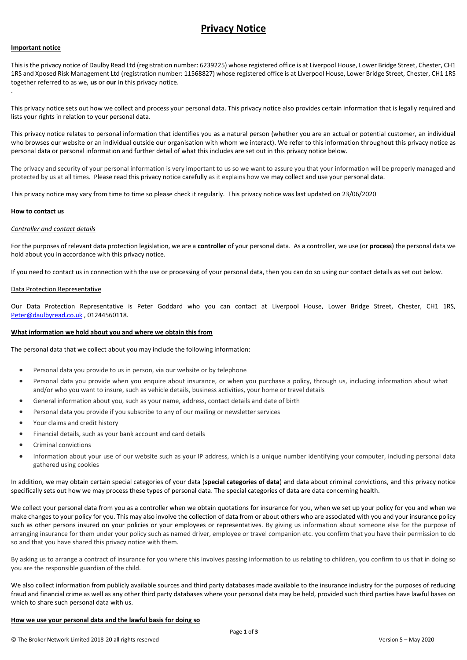# **Privacy Notice**

#### **Important notice**

.

This is the privacy notice of Daulby Read Ltd (registration number: 6239225) whose registered office is at Liverpool House, Lower Bridge Street, Chester, CH1 1RS and Xposed Risk Management Ltd (registration number: 11568827) whose registered office is at Liverpool House, Lower Bridge Street, Chester, CH1 1RS together referred to as we, **us** or **our** in this privacy notice.

This privacy notice sets out how we collect and process your personal data. This privacy notice also provides certain information that is legally required and lists your rights in relation to your personal data.

This privacy notice relates to personal information that identifies you as a natural person (whether you are an actual or potential customer, an individual who browses our website or an individual outside our organisation with whom we interact). We refer to this information throughout this privacy notice as personal data or personal information and further detail of what this includes are set out in this privacy notice below.

The privacy and security of your personal information is very important to us so we want to assure you that your information will be properly managed and protected by us at all times. Please read this privacy notice carefully as it explains how we may collect and use your personal data.

This privacy notice may vary from time to time so please check it regularly. This privacy notice was last updated on 23/06/2020

#### **How to contact us**

## *Controller and contact details*

For the purposes of relevant data protection legislation, we are a **controller** of your personal data. As a controller, we use (or **process**) the personal data we hold about you in accordance with this privacy notice.

If you need to contact us in connection with the use or processing of your personal data, then you can do so using our contact details as set out below.

#### Data Protection Representative

Our Data Protection Representative is Peter Goddard who you can contact at Liverpool House, Lower Bridge Street, Chester, CH1 1RS, [Peter@daulbyread.co.uk](mailto:Peter@daulbyread.co.uk) , 01244560118.

#### **What information we hold about you and where we obtain this from**

The personal data that we collect about you may include the following information:

- Personal data you provide to us in person, via our website or by telephone
- Personal data you provide when you enquire about insurance, or when you purchase a policy, through us, including information about what and/or who you want to insure, such as vehicle details, business activities, your home or travel details
- General information about you, such as your name, address, contact details and date of birth
- Personal data you provide if you subscribe to any of our mailing or newsletter services
- Your claims and credit history
- Financial details, such as your bank account and card details
- Criminal convictions
- Information about your use of our website such as your IP address, which is a unique number identifying your computer, including personal data gathered using cookies

In addition, we may obtain certain special categories of your data (**special categories of data**) and data about criminal convictions, and this privacy notice specifically sets out how we may process these types of personal data. The special categories of data are data concerning health.

We collect your personal data from you as a controller when we obtain quotations for insurance for you, when we set up your policy for you and when we make changes to your policy for you. This may also involve the collection of data from or about others who are associated with you and your insurance policy such as other persons insured on your policies or your employees or representatives. By giving us information about someone else for the purpose of arranging insurance for them under your policy such as named driver, employee or travel companion etc. you confirm that you have their permission to do so and that you have shared this privacy notice with them.

By asking us to arrange a contract of insurance for you where this involves passing information to us relating to children, you confirm to us that in doing so you are the responsible guardian of the child.

We also collect information from publicly available sources and third party databases made available to the insurance industry for the purposes of reducing fraud and financial crime as well as any other third party databases where your personal data may be held, provided such third parties have lawful bases on which to share such personal data with us.

#### **How we use your personal data and the lawful basis for doing so**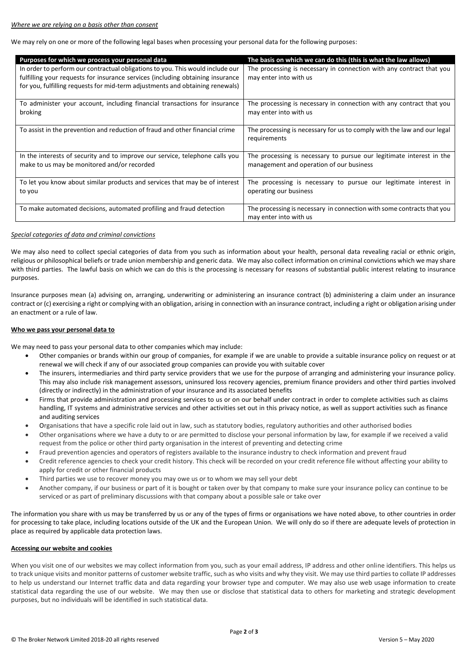We may rely on one or more of the following legal bases when processing your personal data for the following purposes:

| Purposes for which we process your personal data                                                                                                                                                                                                  | The basis on which we can do this (this is what the law allows)                                                  |
|---------------------------------------------------------------------------------------------------------------------------------------------------------------------------------------------------------------------------------------------------|------------------------------------------------------------------------------------------------------------------|
| In order to perform our contractual obligations to you. This would include our<br>fulfilling your requests for insurance services (including obtaining insurance<br>for you, fulfilling requests for mid-term adjustments and obtaining renewals) | The processing is necessary in connection with any contract that you<br>may enter into with us                   |
| To administer your account, including financial transactions for insurance<br>broking                                                                                                                                                             | The processing is necessary in connection with any contract that you<br>may enter into with us                   |
| To assist in the prevention and reduction of fraud and other financial crime                                                                                                                                                                      | The processing is necessary for us to comply with the law and our legal<br>requirements                          |
| In the interests of security and to improve our service, telephone calls you<br>make to us may be monitored and/or recorded                                                                                                                       | The processing is necessary to pursue our legitimate interest in the<br>management and operation of our business |
| To let you know about similar products and services that may be of interest<br>to you                                                                                                                                                             | The processing is necessary to pursue our legitimate interest in<br>operating our business                       |
| To make automated decisions, automated profiling and fraud detection                                                                                                                                                                              | The processing is necessary in connection with some contracts that you<br>may enter into with us                 |

## *Special categories of data and criminal convictions*

We may also need to collect special categories of data from you such as information about your health, personal data revealing racial or ethnic origin, religious or philosophical beliefs or trade union membership and generic data. We may also collect information on criminal convictions which we may share with third parties. The lawful basis on which we can do this is the processing is necessary for reasons of substantial public interest relating to insurance purposes.

Insurance purposes mean (a) advising on, arranging, underwriting or administering an insurance contract (b) administering a claim under an insurance contract or (c) exercising a right or complying with an obligation, arising in connection with an insurance contract, including a right or obligation arising under an enactment or a rule of law.

#### **Who we pass your personal data to**

We may need to pass your personal data to other companies which may include:

- Other companies or brands within our group of companies, for example if we are unable to provide a suitable insurance policy on request or at renewal we will check if any of our associated group companies can provide you with suitable cover
- The insurers, intermediaries and third party service providers that we use for the purpose of arranging and administering your insurance policy. This may also include risk management assessors, uninsured loss recovery agencies, premium finance providers and other third parties involved (directly or indirectly) in the administration of your insurance and its associated benefits
- Firms that provide administration and processing services to us or on our behalf under contract in order to complete activities such as claims handling, IT systems and administrative services and other activities set out in this privacy notice, as well as support activities such as finance and auditing services
- Organisations that have a specific role laid out in law, such as statutory bodies, regulatory authorities and other authorised bodies
- Other organisations where we have a duty to or are permitted to disclose your personal information by law, for example if we received a valid request from the police or other third party organisation in the interest of preventing and detecting crime
- Fraud prevention agencies and operators of registers available to the insurance industry to check information and prevent fraud
- Credit reference agencies to check your credit history. This check will be recorded on your credit reference file without affecting your ability to apply for credit or other financial products
- Third parties we use to recover money you may owe us or to whom we may sell your debt
- Another company, if our business or part of it is bought or taken over by that company to make sure your insurance policy can continue to be serviced or as part of preliminary discussions with that company about a possible sale or take over

The information you share with us may be transferred by us or any of the types of firms or organisations we have noted above, to other countries in order for processing to take place, including locations outside of the UK and the European Union. We will only do so if there are adequate levels of protection in place as required by applicable data protection laws.

## **Accessing our website and cookies**

When you visit one of our websites we may collect information from you, such as your email address, IP address and other online identifiers. This helps us to track unique visits and monitor patterns of customer website traffic, such as who visits and why they visit. We may use third parties to collate IP addresses to help us understand our Internet traffic data and data regarding your browser type and computer. We may also use web usage information to create statistical data regarding the use of our website. We may then use or disclose that statistical data to others for marketing and strategic development purposes, but no individuals will be identified in such statistical data.